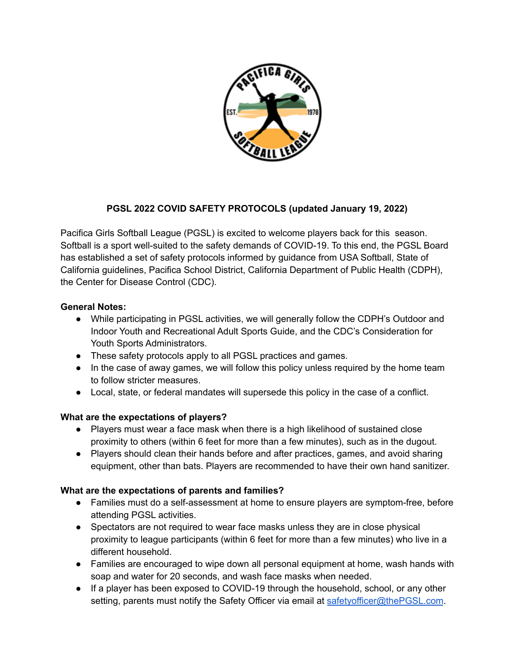

# **PGSL 2022 COVID SAFETY PROTOCOLS (updated January 19, 2022)**

Pacifica Girls Softball League (PGSL) is excited to welcome players back for this season. Softball is a sport well-suited to the safety demands of COVID-19. To this end, the PGSL Board has established a set of safety protocols informed by guidance from USA Softball, State of California guidelines, Pacifica School District, California Department of Public Health (CDPH), the Center for Disease Control (CDC).

### **General Notes:**

- While participating in PGSL activities, we will generally follow the CDPH's Outdoor and Indoor Youth and Recreational Adult Sports Guide, and the CDC's Consideration for Youth Sports Administrators.
- These safety protocols apply to all PGSL practices and games.
- In the case of away games, we will follow this policy unless required by the home team to follow stricter measures.
- Local, state, or federal mandates will supersede this policy in the case of a conflict.

## **What are the expectations of players?**

- **●** Players must wear a face mask when there is a high likelihood of sustained close proximity to others (within 6 feet for more than a few minutes), such as in the dugout.
- Players should clean their hands before and after practices, games, and avoid sharing equipment, other than bats. Players are recommended to have their own hand sanitizer.

## **What are the expectations of parents and families?**

- Families must do a self-assessment at home to ensure players are symptom-free, before attending PGSL activities.
- Spectators are not required to wear face masks unless they are in close physical proximity to league participants (within 6 feet for more than a few minutes) who live in a different household.
- Families are encouraged to wipe down all personal equipment at home, wash hands with soap and water for 20 seconds, and wash face masks when needed.
- If a player has been exposed to COVID-19 through the household, school, or any other setting, parents must notify the Safety Officer via email at [safetyofficer@thePGSL.com](mailto:safetyofficer@thePGSL.com).